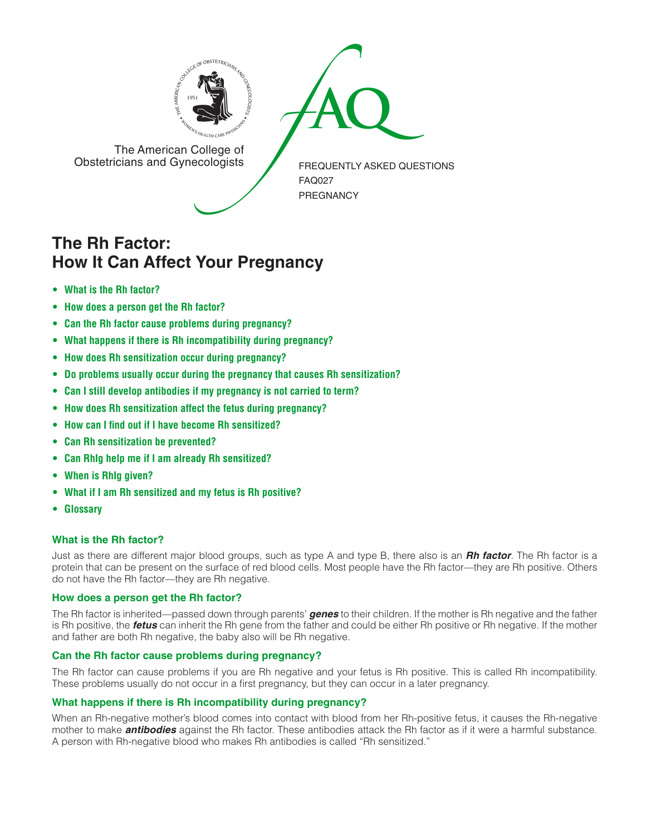



The American College of<br>Obstetricians and Gynecologists

FREQUENTLY ASKED QUESTIONS FAQ027 PREGNANCY

# **The Rh Factor: How It Can Affect Your Pregnancy**

- **[• What](#page-0-0) is the Rh factor?**
- **[• How](#page-0-1) does a person get the Rh factor?**
- **• Can the Rh factor cause problems during [pregnancy?](#page-0-2)**
- **• What happens if there is Rh [incompatibility](#page-0-3) during pregnancy?**
- **• How does Rh [sensitization](#page-1-0) occur during pregnancy?**
- **• Do problems usually occur during the pregnancy that causes Rh [sensitization?](#page-1-1)**
- **• Can I still develop [antibodies](#page-1-2) if my pregnancy is not carried to term?**
- **• How does Rh [sensitization](#page-1-3) affect the fetus during pregnancy?**
- **• How can I find out if I have become Rh [sensitized?](#page-1-4)**
- **• Can Rh [sensitization](#page-1-5) be prevented?**
- **• Can RhIg help me if I am already Rh [sensitized?](#page-1-6)**
- **[• When](#page-1-7) is RhIg given?**
- **• What if I am Rh [sensitized](#page-1-8) and my fetus is Rh positive?**
- **[• Glossary](#page-1-9)**

## <span id="page-0-0"></span>**What is the Rh factor?**

Just as there are different major blood groups, such as type A and type B, there also is an *Rh factor*. The Rh factor is a protein that can be present on the surface of red blood cells. Most people have the Rh factor—they are Rh positive. Others do not have the Rh factor—they are Rh negative.

## <span id="page-0-1"></span>**How does a person get the Rh factor?**

The Rh factor is inherited—passed down through parents' *genes* to their children. If the mother is Rh negative and the father is Rh positive, the *fetus* can inherit the Rh gene from the father and could be either Rh positive or Rh negative. If the mother and father are both Rh negative, the baby also will be Rh negative.

## <span id="page-0-2"></span>**Can the Rh factor cause problems during pregnancy?**

The Rh factor can cause problems if you are Rh negative and your fetus is Rh positive. This is called Rh incompatibility. These problems usually do not occur in a first pregnancy, but they can occur in a later pregnancy.

## <span id="page-0-3"></span>**What happens if there is Rh incompatibility during pregnancy?**

When an Rh-negative mother's blood comes into contact with blood from her Rh-positive fetus, it causes the Rh-negative mother to make *antibodies* against the Rh factor. These antibodies attack the Rh factor as if it were a harmful substance. A person with Rh-negative blood who makes Rh antibodies is called "Rh sensitized."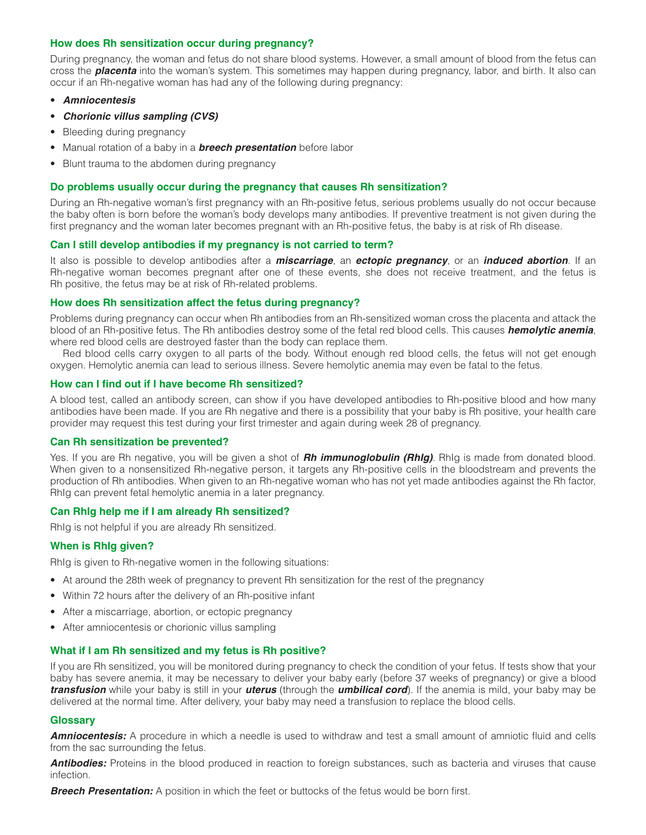#### <span id="page-1-0"></span>**How does Rh sensitization occur during pregnancy?**

During pregnancy, the woman and fetus do not share blood systems. However, a small amount of blood from the fetus can cross the *placenta* into the woman's system. This sometimes may happen during pregnancy, labor, and birth. It also can occur if an Rh-negative woman has had any of the following during pregnancy:

- • *Amniocentesis*
- • *Chorionic villus sampling (CVS)*
- Bleeding during pregnancy
- Manual rotation of a baby in a **breech presentation** before labor
- Blunt trauma to the abdomen during pregnancy

#### <span id="page-1-1"></span>**Do problems usually occur during the pregnancy that causes Rh sensitization?**

During an Rh-negative woman's first pregnancy with an Rh-positive fetus, serious problems usually do not occur because the baby often is born before the woman's body develops many antibodies. If preventive treatment is not given during the first pregnancy and the woman later becomes pregnant with an Rh-positive fetus, the baby is at risk of Rh disease.

#### <span id="page-1-2"></span>**Can I still develop antibodies if my pregnancy is not carried to term?**

It also is possible to develop antibodies after a *miscarriage*, an *ectopic pregnancy*, or an *induced abortion*. If an Rh-negative woman becomes pregnant after one of these events, she does not receive treatment, and the fetus is Rh positive, the fetus may be at risk of Rh-related problems.

#### <span id="page-1-3"></span>**How does Rh sensitization affect the fetus during pregnancy?**

Problems during pregnancy can occur when Rh antibodies from an Rh-sensitized woman cross the placenta and attack the blood of an Rh-positive fetus. The Rh antibodies destroy some of the fetal red blood cells. This causes *hemolytic anemia*, where red blood cells are destroyed faster than the body can replace them.

Red blood cells carry oxygen to all parts of the body. Without enough red blood cells, the fetus will not get enough oxygen. Hemolytic anemia can lead to serious illness. Severe hemolytic anemia may even be fatal to the fetus.

#### <span id="page-1-4"></span>**How can I find out if I have become Rh sensitized?**

A blood test, called an antibody screen, can show if you have developed antibodies to Rh-positive blood and how many antibodies have been made. If you are Rh negative and there is a possibility that your baby is Rh positive, your health care provider may request this test during your first trimester and again during week 28 of pregnancy.

#### <span id="page-1-5"></span>**Can Rh sensitization be prevented?**

Yes. If you are Rh negative, you will be given a shot of *Rh immunoglobulin (RhIg)*. RhIg is made from donated blood. When given to a nonsensitized Rh-negative person, it targets any Rh-positive cells in the bloodstream and prevents the production of Rh antibodies. When given to an Rh-negative woman who has not yet made antibodies against the Rh factor, RhIg can prevent fetal hemolytic anemia in a later pregnancy.

#### <span id="page-1-6"></span>**Can RhIg help me if I am already Rh sensitized?**

RhIg is not helpful if you are already Rh sensitized.

#### <span id="page-1-7"></span>**When is RhIg given?**

RhIg is given to Rh-negative women in the following situations:

- At around the 28th week of pregnancy to prevent Rh sensitization for the rest of the pregnancy
- Within 72 hours after the delivery of an Rh-positive infant
- After a miscarriage, abortion, or ectopic pregnancy
- After amniocentesis or chorionic villus sampling

#### <span id="page-1-8"></span>**What if I am Rh sensitized and my fetus is Rh positive?**

If you are Rh sensitized, you will be monitored during pregnancy to check the condition of your fetus. If tests show that your baby has severe anemia, it may be necessary to deliver your baby early (before 37 weeks of pregnancy) or give a blood *transfusion* while your baby is still in your *uterus* (through the *umbilical cord*). If the anemia is mild, your baby may be delivered at the normal time. After delivery, your baby may need a transfusion to replace the blood cells.

#### <span id="page-1-9"></span>**Glossary**

*Amniocentesis:* A procedure in which a needle is used to withdraw and test a small amount of amniotic fluid and cells from the sac surrounding the fetus.

*Antibodies:* Proteins in the blood produced in reaction to foreign substances, such as bacteria and viruses that cause infection.

**Breech Presentation:** A position in which the feet or buttocks of the fetus would be born first.